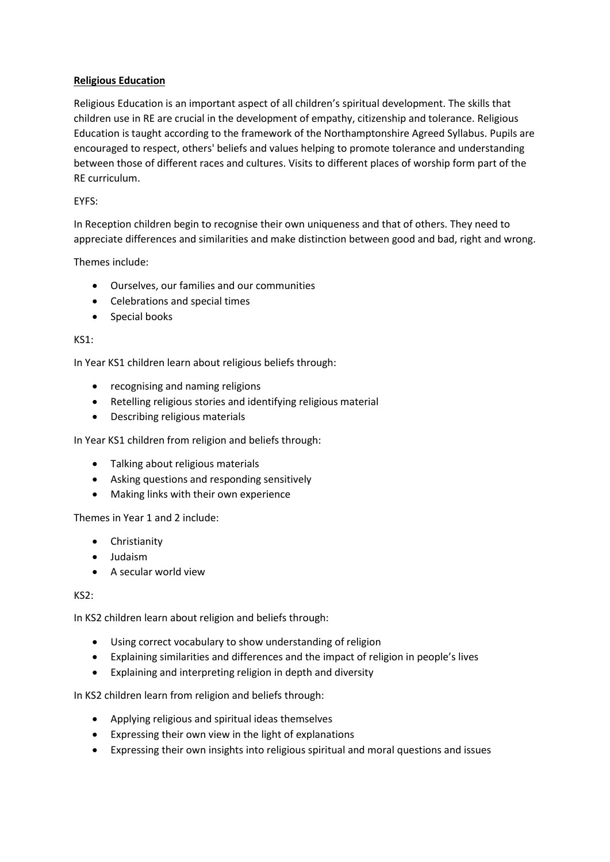## **Religious Education**

Religious Education is an important aspect of all children's spiritual development. The skills that children use in RE are crucial in the development of empathy, citizenship and tolerance. Religious Education is taught according to the framework of the Northamptonshire Agreed Syllabus. Pupils are encouraged to respect, others' beliefs and values helping to promote tolerance and understanding between those of different races and cultures. Visits to different places of worship form part of the RE curriculum.

## EYFS:

In Reception children begin to recognise their own uniqueness and that of others. They need to appreciate differences and similarities and make distinction between good and bad, right and wrong.

Themes include:

- Ourselves, our families and our communities
- Celebrations and special times
- Special books

## KS1:

In Year KS1 children learn about religious beliefs through:

- recognising and naming religions
- Retelling religious stories and identifying religious material
- Describing religious materials

In Year KS1 children from religion and beliefs through:

- Talking about religious materials
- Asking questions and responding sensitively
- Making links with their own experience

Themes in Year 1 and 2 include:

- Christianity
- Judaism
- A secular world view

KS2:

In KS2 children learn about religion and beliefs through:

- Using correct vocabulary to show understanding of religion
- Explaining similarities and differences and the impact of religion in people's lives
- Explaining and interpreting religion in depth and diversity

In KS2 children learn from religion and beliefs through:

- Applying religious and spiritual ideas themselves
- Expressing their own view in the light of explanations
- Expressing their own insights into religious spiritual and moral questions and issues